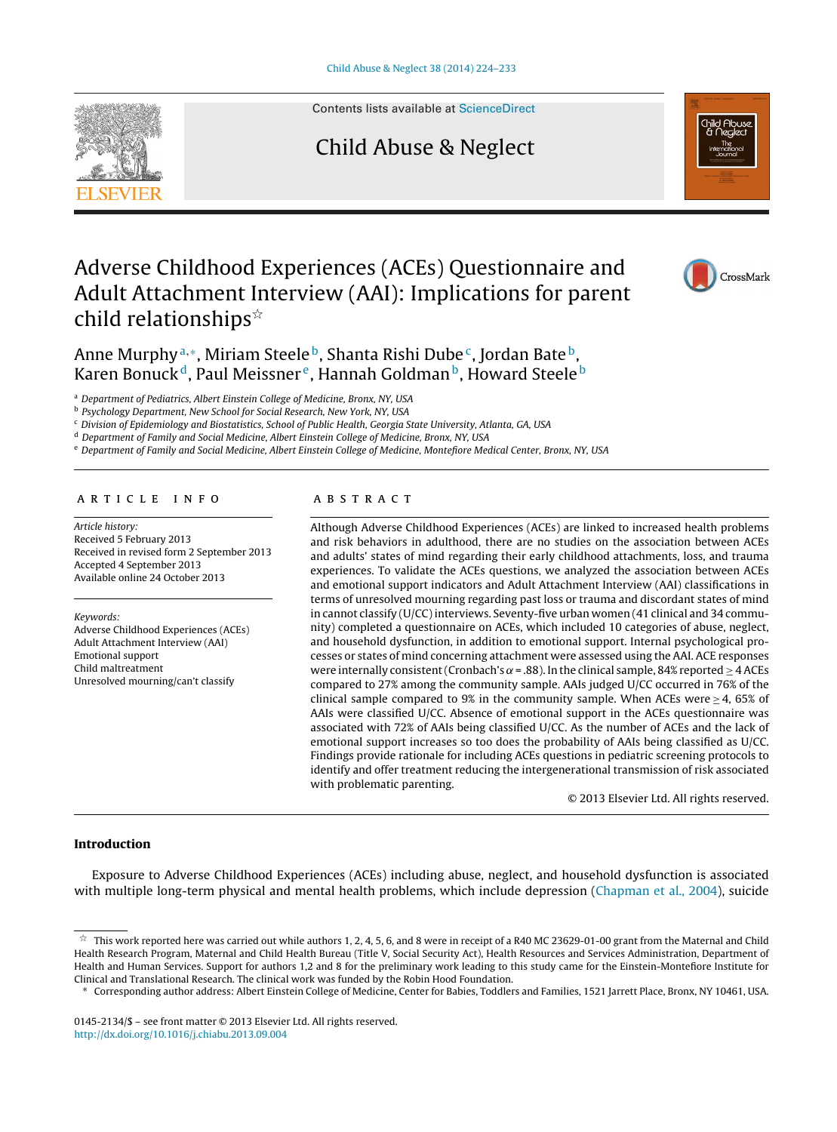

Contents lists available at [ScienceDirect](http://www.sciencedirect.com/science/journal/01452134)

## Child Abuse & Neglect



CrossMark

# Adverse Childhood Experiences (ACEs) Questionnaire and Adult Attachment Interview (AAI): Implications for parent child relationships $*$

## Anne Murphy<sup>a,∗</sup>, Miriam Steele<sup>b</sup>, Shanta Rishi Dube<sup>c</sup>, Jordan Bate<sup>b</sup>, Karen Bonuck<sup>d</sup>, Paul Meissner<sup>e</sup>, Hannah Goldman<sup>b</sup>, Howard Steele<sup>b</sup>

<sup>a</sup> Department of Pediatrics, Albert Einstein College of Medicine, Bronx, NY, USA

<sup>b</sup> Psychology Department, New School for Social Research, New York, NY, USA

<sup>c</sup> Division of Epidemiology and Biostatistics, School of Public Health, Georgia State University, Atlanta, GA, USA

<sup>d</sup> Department of Family and Social Medicine, Albert Einstein College of Medicine, Bronx, NY, USA

<sup>e</sup> Department of Family and Social Medicine, Albert Einstein College of Medicine, Montefiore Medical Center, Bronx, NY, USA

#### article info

Article history: Received 5 February 2013 Received in revised form 2 September 2013 Accepted 4 September 2013 Available online 24 October 2013

Keywords: Adverse Childhood Experiences (ACEs) Adult Attachment Interview (AAI) Emotional support Child maltreatment Unresolved mourning/can't classify

## **ABSTRACT**

Although Adverse Childhood Experiences (ACEs) are linked to increased health problems and risk behaviors in adulthood, there are no studies on the association between ACEs and adults' states of mind regarding their early childhood attachments, loss, and trauma experiences. To validate the ACEs questions, we analyzed the association between ACEs and emotional support indicators and Adult Attachment Interview (AAI) classifications in terms of unresolved mourning regarding past loss or trauma and discordant states of mind in cannot classify (U/CC) interviews. Seventy-five urban women (41 clinical and 34 community) completed a questionnaire on ACEs, which included 10 categories of abuse, neglect, and household dysfunction, in addition to emotional support. Internal psychological processes or states of mind concerning attachment were assessed using the AAI. ACE responses were internally consistent (Cronbach's  $\alpha$  = .88). In the clinical sample, 84% reported  $\geq$  4 ACEs compared to 27% among the community sample. AAIs judged U/CC occurred in 76% of the clinical sample compared to 9% in the community sample. When ACEs were  $\geq$  4, 65% of AAIs were classified U/CC. Absence of emotional support in the ACEs questionnaire was associated with 72% of AAIs being classified U/CC. As the number of ACEs and the lack of emotional support increases so too does the probability of AAIs being classified as U/CC. Findings provide rationale for including ACEs questions in pediatric screening protocols to identify and offer treatment reducing the intergenerational transmission of risk associated with problematic parenting.

© 2013 Elsevier Ltd. All rights reserved.

## **Introduction**

Exposure to Adverse Childhood Experiences (ACEs) including abuse, neglect, and household dysfunction is associated with multiple long-term physical and mental health problems, which include depression [\(Chapman et al., 2004\),](#page-8-0) suicide

 $^\star$  This work reported here was carried out while authors 1, 2, 4, 5, 6, and 8 were in receipt of a R40 MC 23629-01-00 grant from the Maternal and Child Health Research Program, Maternal and Child Health Bureau (Title V, Social Security Act), Health Resources and Services Administration, Department of Health and Human Services. Support for authors 1,2 and 8 for the preliminary work leading to this study came for the Einstein-Montefiore Institute for Clinical and Translational Research. The clinical work was funded by the Robin Hood Foundation.

<sup>∗</sup> Corresponding author address: Albert Einstein College of Medicine, Center for Babies, Toddlers and Families, 1521 Jarrett Place, Bronx, NY 10461, USA.

<sup>0145-2134/\$ –</sup> see front matter © 2013 Elsevier Ltd. All rights reserved. [http://dx.doi.org/10.1016/j.chiabu.2013.09.004](dx.doi.org/10.1016/j.chiabu.2013.09.004)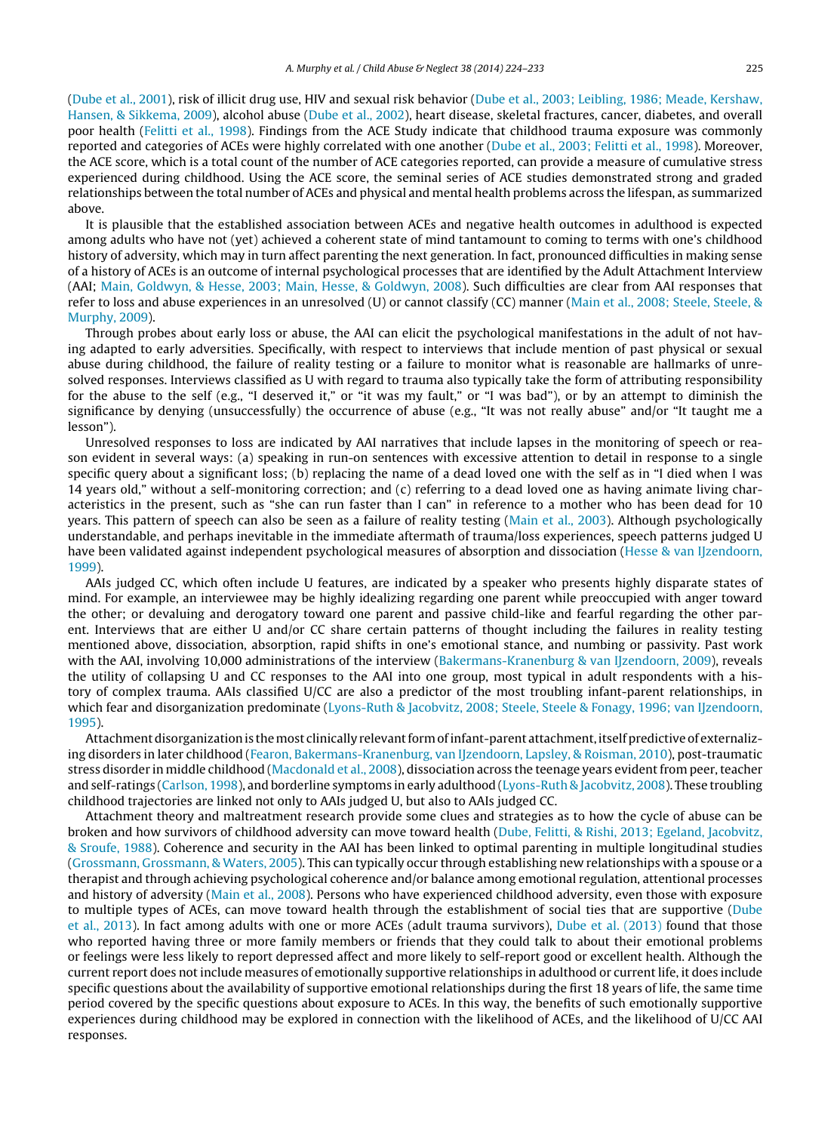[\(Dube et al., 2001\),](#page-8-0) risk of illicit drug use, HIV and sexual risk behavior ([Dube et al., 2003; Leibling, 1986; Meade, Kershaw,](#page-8-0) [Hansen, & Sikkema, 2009\),](#page-8-0) alcohol abuse ([Dube et al., 2002\),](#page-8-0) heart disease, skeletal fractures, cancer, diabetes, and overall poor health [\(Felitti et al., 1998\).](#page-8-0) Findings from the ACE Study indicate that childhood trauma exposure was commonly reported and categories of ACEs were highly correlated with one another [\(Dube et al., 2003; Felitti et al., 1998\).](#page-8-0) Moreover, the ACE score, which is a total count of the number of ACE categories reported, can provide a measure of cumulative stress experienced during childhood. Using the ACE score, the seminal series of ACE studies demonstrated strong and graded relationships between the total number of ACEs and physical and mental health problems across the lifespan, as summarized above.

It is plausible that the established association between ACEs and negative health outcomes in adulthood is expected among adults who have not (yet) achieved a coherent state of mind tantamount to coming to terms with one's childhood history of adversity, which may in turn affect parenting the next generation. In fact, pronounced difficulties in making sense of a history of ACEs is an outcome of internal psychological processes that are identified by the Adult Attachment Interview (AAI; [Main, Goldwyn, & Hesse, 2003; Main, Hesse, & Goldwyn, 2008\).](#page-9-0) Such difficulties are clear from AAI responses that refer to loss and abuse experiences in an unresolved (U) or cannot classify (CC) manner ([Main et al., 2008; Steele, Steele, &](#page-9-0) [Murphy, 2009\).](#page-9-0)

Through probes about early loss or abuse, the AAI can elicit the psychological manifestations in the adult of not having adapted to early adversities. Specifically, with respect to interviews that include mention of past physical or sexual abuse during childhood, the failure of reality testing or a failure to monitor what is reasonable are hallmarks of unresolved responses. Interviews classified as U with regard to trauma also typically take the form of attributing responsibility for the abuse to the self (e.g., "I deserved it," or "it was my fault," or "I was bad"), or by an attempt to diminish the significance by denying (unsuccessfully) the occurrence of abuse (e.g., "It was not really abuse" and/or "It taught me a lesson").

Unresolved responses to loss are indicated by AAI narratives that include lapses in the monitoring of speech or reason evident in several ways: (a) speaking in run-on sentences with excessive attention to detail in response to a single specific query about a significant loss; (b) replacing the name of a dead loved one with the self as in "I died when I was 14 years old," without a self-monitoring correction; and (c) referring to a dead loved one as having animate living characteristics in the present, such as "she can run faster than I can" in reference to a mother who has been dead for 10 years. This pattern of speech can also be seen as a failure of reality testing [\(Main et al., 2003\).](#page-9-0) Although psychologically understandable, and perhaps inevitable in the immediate aftermath of trauma/loss experiences, speech patterns judged U have been validated against independent psychological measures of absorption and dissociation ([Hesse & van IJzendoorn,](#page-9-0) [1999\).](#page-9-0)

AAIs judged CC, which often include U features, are indicated by a speaker who presents highly disparate states of mind. For example, an interviewee may be highly idealizing regarding one parent while preoccupied with anger toward the other; or devaluing and derogatory toward one parent and passive child-like and fearful regarding the other parent. Interviews that are either U and/or CC share certain patterns of thought including the failures in reality testing mentioned above, dissociation, absorption, rapid shifts in one's emotional stance, and numbing or passivity. Past work with the AAI, involving 10,000 administrations of the interview [\(Bakermans-Kranenburg & van IJzendoorn, 2009\),](#page-8-0) reveals the utility of collapsing U and CC responses to the AAI into one group, most typical in adult respondents with a history of complex trauma. AAIs classified U/CC are also a predictor of the most troubling infant-parent relationships, in which fear and disorganization predominate ([Lyons-Ruth & Jacobvitz, 2008; Steele, Steele & Fonagy, 1996; van IJzendoorn,](#page-9-0) [1995\).](#page-9-0)

Attachment disorganization is themost clinically relevant form of infant-parent attachment, itself predictive of externalizing disorders in later childhood [\(Fearon, Bakermans-Kranenburg, van IJzendoorn, Lapsley, & Roisman, 2010\),](#page-8-0) post-traumatic stress disorder in middle childhood ([Macdonald et al., 2008\),](#page-9-0) dissociation across the teenage years evident from peer, teacher and self-ratings [\(Carlson, 1998\),](#page-8-0) and borderline symptoms in early adulthood ([Lyons-Ruth & Jacobvitz, 2008\).](#page-9-0) These troubling childhood trajectories are linked not only to AAIs judged U, but also to AAIs judged CC.

Attachment theory and maltreatment research provide some clues and strategies as to how the cycle of abuse can be broken and how survivors of childhood adversity can move toward health ([Dube, Felitti, & Rishi, 2013; Egeland, Jacobvitz,](#page-8-0) [& Sroufe, 1988\).](#page-8-0) Coherence and security in the AAI has been linked to optimal parenting in multiple longitudinal studies [\(Grossmann, Grossmann, & Waters, 2005\).](#page-8-0) This can typically occur through establishing new relationships with a spouse or a therapist and through achieving psychological coherence and/or balance among emotional regulation, attentional processes and history of adversity [\(Main et al., 2008\).](#page-9-0) Persons who have experienced childhood adversity, even those with exposure to multiple types of ACEs, can move toward health through the establishment of social ties that are supportive [\(Dube](#page-8-0) [et al., 2013\).](#page-8-0) In fact among adults with one or more ACEs (adult trauma survivors), [Dube et al. \(2013\)](#page-8-0) found that those who reported having three or more family members or friends that they could talk to about their emotional problems or feelings were less likely to report depressed affect and more likely to self-report good or excellent health. Although the current report does not include measures of emotionally supportive relationships in adulthood or current life, it does include specific questions about the availability of supportive emotional relationships during the first 18 years of life, the same time period covered by the specific questions about exposure to ACEs. In this way, the benefits of such emotionally supportive experiences during childhood may be explored in connection with the likelihood of ACEs, and the likelihood of U/CC AAI responses.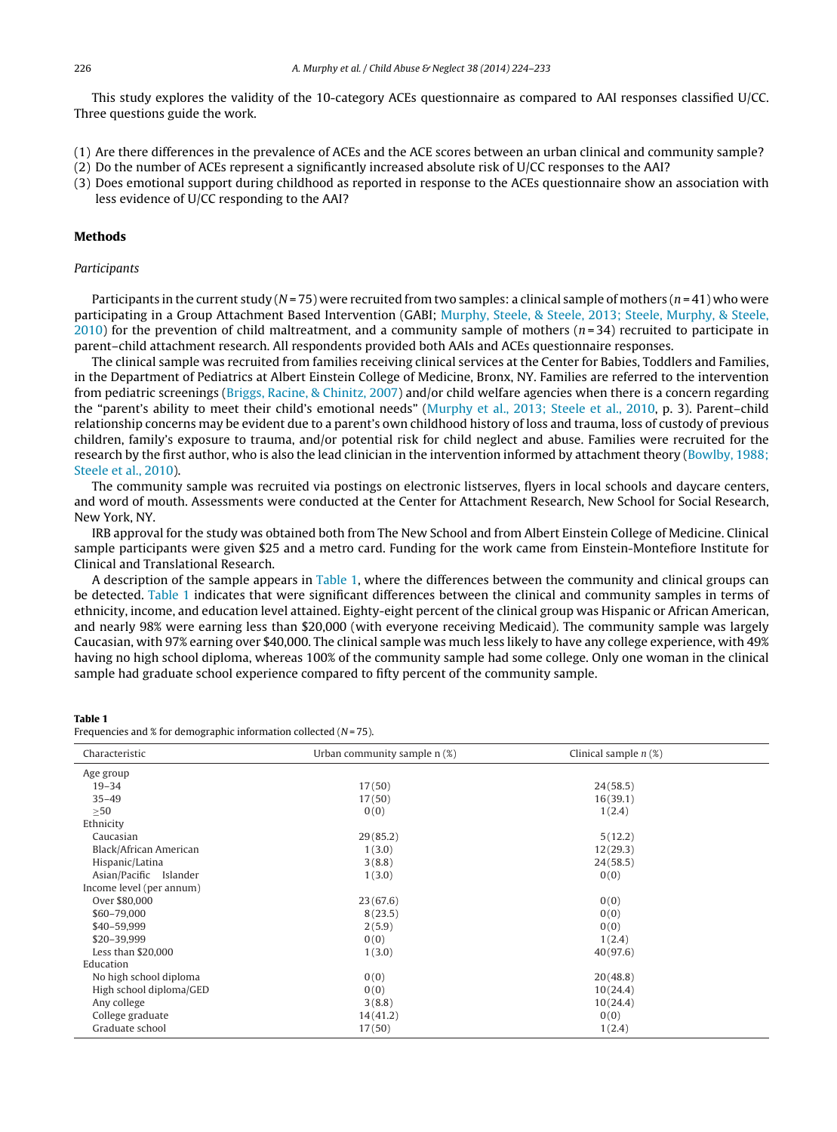This study explores the validity of the 10-category ACEs questionnaire as compared to AAI responses classified U/CC. Three questions guide the work.

- (1) Are there differences in the prevalence of ACEs and the ACE scores between an urban clinical and community sample?
- (2) Do the number of ACEs represent a significantly increased absolute risk of U/CC responses to the AAI?
- (3) Does emotional support during childhood as reported in response to the ACEs questionnaire show an association with less evidence of U/CC responding to the AAI?

## **Methods**

## Participants

Participants in the current study ( $N = 75$ ) were recruited from two samples: a clinical sample of mothers ( $n = 41$ ) who were participating in a Group Attachment Based Intervention (GABI; [Murphy, Steele, & Steele, 2013; Steele, Murphy, & Steele,](#page-9-0)  $2010$ ) for the prevention of child maltreatment, and a community sample of mothers ( $n = 34$ ) recruited to participate in parent–child attachment research. All respondents provided both AAIs and ACEs questionnaire responses.

The clinical sample was recruited from families receiving clinical services at the Center for Babies, Toddlers and Families, in the Department of Pediatrics at Albert Einstein College of Medicine, Bronx, NY. Families are referred to the intervention from pediatric screenings ([Briggs, Racine, & Chinitz, 2007\) a](#page-8-0)nd/or child welfare agencies when there is a concern regarding the "parent's ability to meet their child's emotional needs" [\(Murphy et al., 2013; Steele et al., 2010,](#page-9-0) p. 3). Parent–child relationship concerns may be evident due to a parent's own childhood history of loss and trauma, loss of custody of previous children, family's exposure to trauma, and/or potential risk for child neglect and abuse. Families were recruited for the research by the first author, who is also the lead clinician in the intervention informed by attachment theory [\(Bowlby, 1988;](#page-8-0) [Steele et al., 2010\).](#page-8-0)

The community sample was recruited via postings on electronic listserves, flyers in local schools and daycare centers, and word of mouth. Assessments were conducted at the Center for Attachment Research, New School for Social Research, New York, NY.

IRB approval for the study was obtained both from The New School and from Albert Einstein College of Medicine. Clinical sample participants were given \$25 and a metro card. Funding for the work came from Einstein-Montefiore Institute for Clinical and Translational Research.

A description of the sample appears in Table 1, where the differences between the community and clinical groups can be detected. Table 1 indicates that were significant differences between the clinical and community samples in terms of ethnicity, income, and education level attained. Eighty-eight percent of the clinical group was Hispanic or African American, and nearly 98% were earning less than \$20,000 (with everyone receiving Medicaid). The community sample was largely Caucasian, with 97% earning over \$40,000. The clinical sample was much less likely to have any college experience, with 49% having no high school diploma, whereas 100% of the community sample had some college. Only one woman in the clinical sample had graduate school experience compared to fifty percent of the community sample.

#### **Table 1**

Frequencies and % for demographic information collected ( $N = 75$ ).

| Characteristic           | Urban community sample n (%) | Clinical sample $n$ (%) |  |
|--------------------------|------------------------------|-------------------------|--|
| Age group                |                              |                         |  |
| $19 - 34$                | 17(50)                       | 24(58.5)                |  |
| $35 - 49$                | 17(50)                       | 16(39.1)                |  |
| $\geq 50$                | 0(0)                         | 1(2.4)                  |  |
| Ethnicity                |                              |                         |  |
| Caucasian                | 29(85.2)                     | 5(12.2)                 |  |
| Black/African American   | 1(3.0)                       | 12(29.3)                |  |
| Hispanic/Latina          | 3(8.8)                       | 24(58.5)                |  |
| Asian/Pacific Islander   | 1(3.0)                       | 0(0)                    |  |
| Income level (per annum) |                              |                         |  |
| Over \$80,000            | 23(67.6)                     | 0(0)                    |  |
| \$60-79,000              | 8(23.5)                      | 0(0)                    |  |
| \$40-59,999              | 2(5.9)                       | 0(0)                    |  |
| \$20-39,999              | 0(0)                         | 1(2.4)                  |  |
| Less than \$20,000       | 1(3.0)                       | 40(97.6)                |  |
| Education                |                              |                         |  |
| No high school diploma   | 0(0)                         | 20(48.8)                |  |
| High school diploma/GED  | 0(0)                         | 10(24.4)                |  |
| Any college              | 3(8.8)                       | 10(24.4)                |  |
| College graduate         | 14(41.2)                     | 0(0)                    |  |
| Graduate school          | 17(50)                       | 1(2.4)                  |  |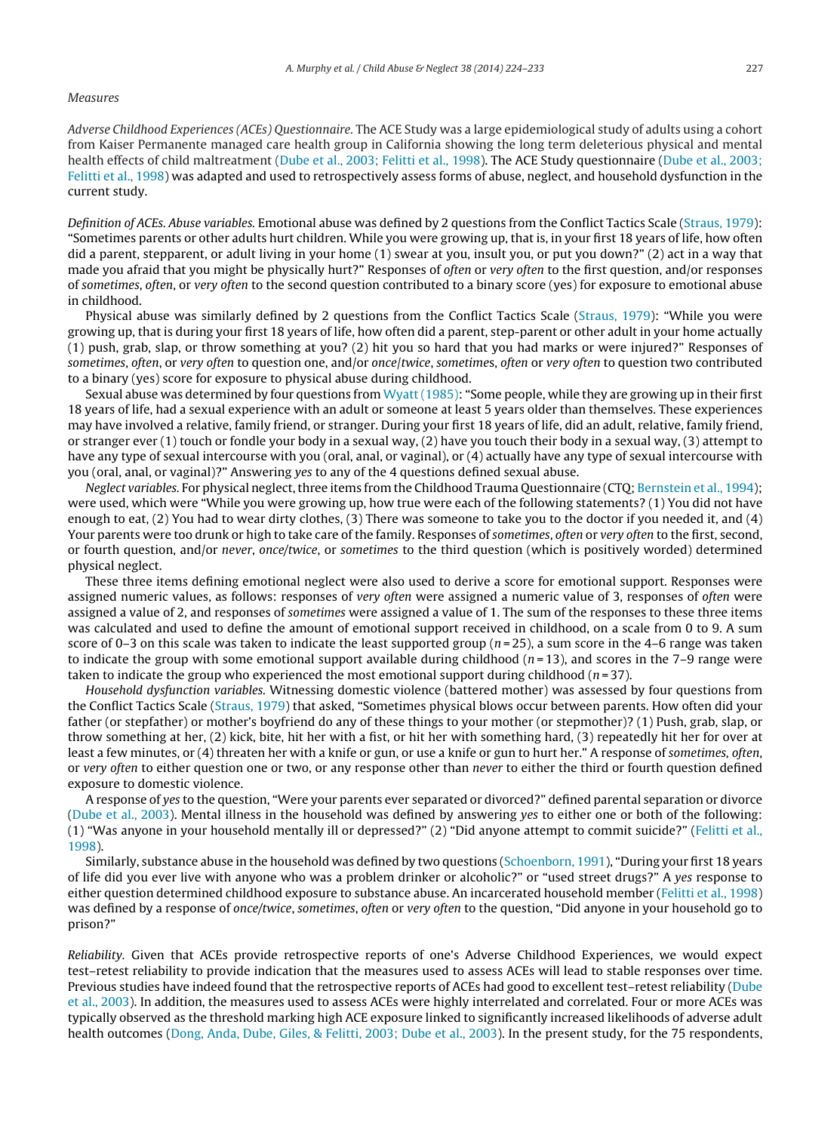#### Measures

Adverse Childhood Experiences (ACEs) Questionnaire. The ACE Study was a large epidemiological study of adults using a cohort from Kaiser Permanente managed care health group in California showing the long term deleterious physical and mental health effects of child maltreatment [\(Dube et al., 2003; Felitti et al., 1998\).](#page-8-0) The ACE Study questionnaire ([Dube et al., 2003;](#page-8-0) [Felitti et al., 1998\) w](#page-8-0)as adapted and used to retrospectively assess forms of abuse, neglect, and household dysfunction in the current study.

Definition of ACEs. Abuse variables. Emotional abuse was defined by 2 questions from the Conflict Tactics Scale ([Straus, 1979\):](#page-9-0) "Sometimes parents or other adults hurt children. While you were growing up, that is, in your first 18 years of life, how often did a parent, stepparent, or adult living in your home (1) swear at you, insult you, or put you down?" (2) act in a way that made you afraid that you might be physically hurt?" Responses of often or very often to the first question, and/or responses of sometimes, often, or very often to the second question contributed to a binary score (yes) for exposure to emotional abuse in childhood.

Physical abuse was similarly defined by 2 questions from the Conflict Tactics Scale ([Straus, 1979\):](#page-9-0) "While you were growing up, that is during your first 18 years of life, how often did a parent, step-parent or other adult in your home actually (1) push, grab, slap, or throw something at you? (2) hit you so hard that you had marks or were injured?" Responses of sometimes, often, or very often to question one, and/or once/twice, sometimes, often or very often to question two contributed to a binary (yes) score for exposure to physical abuse during childhood.

Sexual abuse was determined by four questions from [Wyatt \(1985\): "](#page-9-0)Some people, while they are growing up in their first 18 years of life, had a sexual experience with an adult or someone at least 5 years older than themselves. These experiences may have involved a relative, family friend, or stranger. During your first 18 years of life, did an adult, relative, family friend, or stranger ever (1) touch or fondle your body in a sexual way, (2) have you touch their body in a sexual way, (3) attempt to have any type of sexual intercourse with you (oral, anal, or vaginal), or (4) actually have any type of sexual intercourse with you (oral, anal, or vaginal)?" Answering yes to any of the 4 questions defined sexual abuse.

Neglect variables. For physical neglect, three items from the Childhood Trauma Questionnaire (CTQ; [Bernstein et al., 1994\);](#page-8-0) were used, which were "While you were growing up, how true were each of the following statements? (1) You did not have enough to eat, (2) You had to wear dirty clothes, (3) There was someone to take you to the doctor if you needed it, and (4) Your parents were too drunk or high to take care of the family. Responses of sometimes, often or very often to the first, second, or fourth question, and/or never, once/twice, or sometimes to the third question (which is positively worded) determined physical neglect.

These three items defining emotional neglect were also used to derive a score for emotional support. Responses were assigned numeric values, as follows: responses of very often were assigned a numeric value of 3, responses of often were assigned a value of 2, and responses of sometimes were assigned a value of 1. The sum of the responses to these three items was calculated and used to define the amount of emotional support received in childhood, on a scale from 0 to 9. A sum score of 0–3 on this scale was taken to indicate the least supported group ( $n = 25$ ), a sum score in the 4–6 range was taken to indicate the group with some emotional support available during childhood ( $n = 13$ ), and scores in the 7–9 range were taken to indicate the group who experienced the most emotional support during childhood  $(n=37)$ .

Household dysfunction variables. Witnessing domestic violence (battered mother) was assessed by four questions from the Conflict Tactics Scale ([Straus, 1979\) t](#page-9-0)hat asked, "Sometimes physical blows occur between parents. How often did your father (or stepfather) or mother's boyfriend do any of these things to your mother (or stepmother)? (1) Push, grab, slap, or throw something at her, (2) kick, bite, hit her with a fist, or hit her with something hard, (3) repeatedly hit her for over at least a few minutes, or (4) threaten her with a knife or gun, or use a knife or gun to hurt her." A response of sometimes, often, or very often to either question one or two, or any response other than never to either the third or fourth question defined exposure to domestic violence.

A response of yes to the question, "Were your parents ever separated or divorced?" defined parental separation or divorce [\(Dube et al., 2003\).](#page-8-0) Mental illness in the household was defined by answering yes to either one or both of the following: (1) "Was anyone in your household mentally ill or depressed?" (2) "Did anyone attempt to commit suicide?" [\(Felitti et al.,](#page-8-0) [1998\).](#page-8-0)

Similarly, substance abuse in the household was defined by two questions ([Schoenborn, 1991\),](#page-9-0) "During your first 18 years of life did you ever live with anyone who was a problem drinker or alcoholic?" or "used street drugs?" A yes response to either question determined childhood exposure to substance abuse. An incarcerated household member [\(Felitti et al., 1998\)](#page-8-0) was defined by a response of once/twice, sometimes, often or very often to the question, "Did anyone in your household go to prison?"

Reliability. Given that ACEs provide retrospective reports of one's Adverse Childhood Experiences, we would expect test–retest reliability to provide indication that the measures used to assess ACEs will lead to stable responses over time. Previous studies have indeed found that the retrospective reports of ACEs had good to excellent test–retest reliability [\(Dube](#page-8-0) [et al., 2003\).](#page-8-0) In addition, the measures used to assess ACEs were highly interrelated and correlated. Four or more ACEs was typically observed as the threshold marking high ACE exposure linked to significantly increased likelihoods of adverse adult health outcomes [\(Dong, Anda, Dube, Giles, & Felitti, 2003; Dube et al., 2003\).](#page-8-0) In the present study, for the 75 respondents,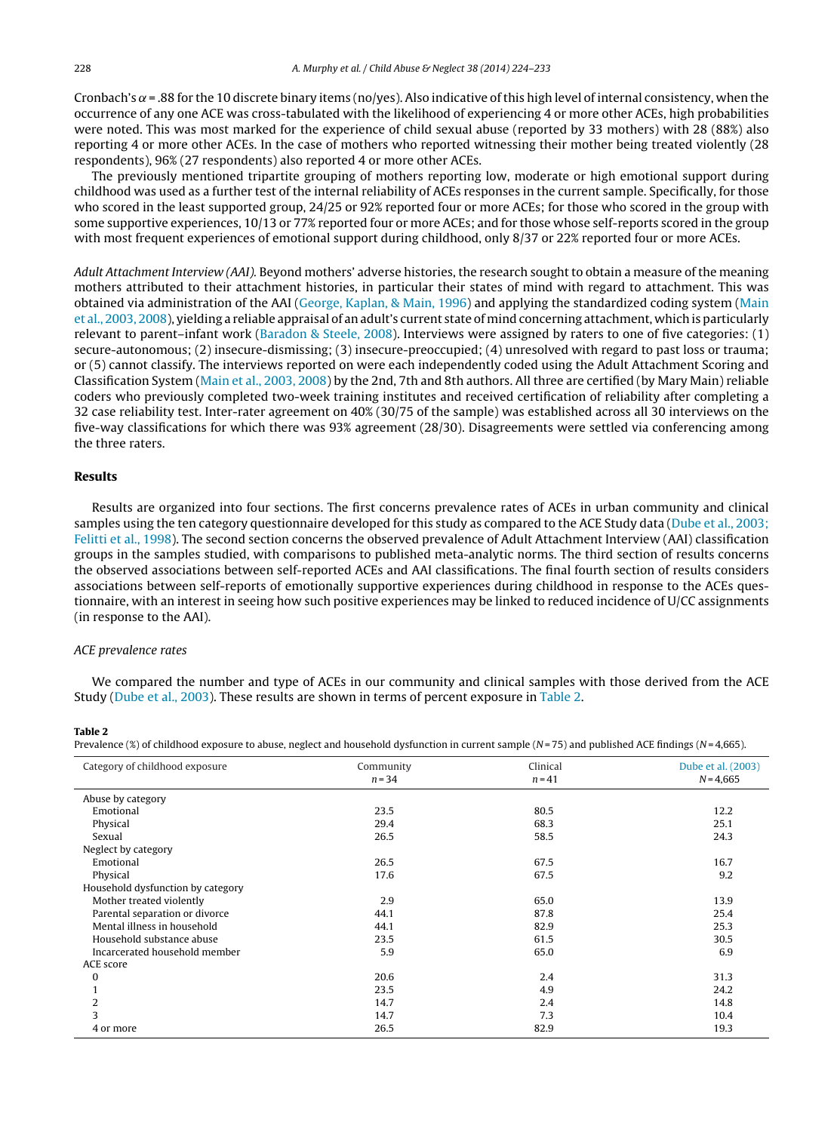<span id="page-4-0"></span>Cronbach's  $\alpha$  = .88 for the 10 discrete binary items (no/yes). Also indicative of this high level of internal consistency, when the occurrence of any one ACE was cross-tabulated with the likelihood of experiencing 4 or more other ACEs, high probabilities were noted. This was most marked for the experience of child sexual abuse (reported by 33 mothers) with 28 (88%) also reporting 4 or more other ACEs. In the case of mothers who reported witnessing their mother being treated violently (28 respondents), 96% (27 respondents) also reported 4 or more other ACEs.

The previously mentioned tripartite grouping of mothers reporting low, moderate or high emotional support during childhood was used as a further test of the internal reliability of ACEs responses in the current sample. Specifically, for those who scored in the least supported group, 24/25 or 92% reported four or more ACEs; for those who scored in the group with some supportive experiences, 10/13 or 77% reported four or more ACEs; and for those whose self-reports scored in the group with most frequent experiences of emotional support during childhood, only 8/37 or 22% reported four or more ACEs.

Adult Attachment Interview (AAI). Beyond mothers' adverse histories, the research sought to obtain a measure of the meaning mothers attributed to their attachment histories, in particular their states of mind with regard to attachment. This was obtained via administration of the AAI [\(George, Kaplan, & Main, 1996\) a](#page-8-0)nd applying the standardized coding system ([Main](#page-9-0) [et al., 2003, 2008\),](#page-9-0) yielding a reliable appraisal of an adult's current state of mind concerning attachment, which is particularly relevant to parent–infant work ([Baradon & Steele, 2008\).](#page-8-0) Interviews were assigned by raters to one of five categories: (1) secure-autonomous; (2) insecure-dismissing; (3) insecure-preoccupied; (4) unresolved with regard to past loss or trauma; or (5) cannot classify. The interviews reported on were each independently coded using the Adult Attachment Scoring and Classification System ([Main et al., 2003, 2008\) b](#page-9-0)y the 2nd, 7th and 8th authors. All three are certified (by Mary Main) reliable coders who previously completed two-week training institutes and received certification of reliability after completing a 32 case reliability test. Inter-rater agreement on 40% (30/75 of the sample) was established across all 30 interviews on the five-way classifications for which there was 93% agreement (28/30). Disagreements were settled via conferencing among the three raters.

## **Results**

Results are organized into four sections. The first concerns prevalence rates of ACEs in urban community and clinical samples using the ten category questionnaire developed for this study as compared to the ACE Study data [\(Dube et al., 2003;](#page-8-0) [Felitti et al., 1998\).](#page-8-0) The second section concerns the observed prevalence of Adult Attachment Interview (AAI) classification groups in the samples studied, with comparisons to published meta-analytic norms. The third section of results concerns the observed associations between self-reported ACEs and AAI classifications. The final fourth section of results considers associations between self-reports of emotionally supportive experiences during childhood in response to the ACEs questionnaire, with an interest in seeing how such positive experiences may be linked to reduced incidence of U/CC assignments (in response to the AAI).

#### ACE prevalence rates

We compared the number and type of ACEs in our community and clinical samples with those derived from the ACE Study [\(Dube et al., 2003\).](#page-8-0) These results are shown in terms of percent exposure in Table 2.

#### **Table 2**

Prevalence (%) of childhood exposure to abuse, neglect and household dysfunction in current sample ( $N=75$ ) and published ACE findings ( $N=4,665$ ).

| Category of childhood exposure    | Community | Clinical | Dube et al. (2003) |
|-----------------------------------|-----------|----------|--------------------|
|                                   | $n = 34$  | $n = 41$ | $N = 4,665$        |
| Abuse by category                 |           |          |                    |
| Emotional                         | 23.5      | 80.5     | 12.2               |
| Physical                          | 29.4      | 68.3     | 25.1               |
| Sexual                            | 26.5      | 58.5     | 24.3               |
| Neglect by category               |           |          |                    |
| Emotional                         | 26.5      | 67.5     | 16.7               |
| Physical                          | 17.6      | 67.5     | 9.2                |
| Household dysfunction by category |           |          |                    |
| Mother treated violently          | 2.9       | 65.0     | 13.9               |
| Parental separation or divorce    | 44.1      | 87.8     | 25.4               |
| Mental illness in household       | 44.1      | 82.9     | 25.3               |
| Household substance abuse         | 23.5      | 61.5     | 30.5               |
| Incarcerated household member     | 5.9       | 65.0     | 6.9                |
| ACE score                         |           |          |                    |
| $\Omega$                          | 20.6      | 2.4      | 31.3               |
|                                   | 23.5      | 4.9      | 24.2               |
| 2                                 | 14.7      | 2.4      | 14.8               |
| 3                                 | 14.7      | 7.3      | 10.4               |
| 4 or more                         | 26.5      | 82.9     | 19.3               |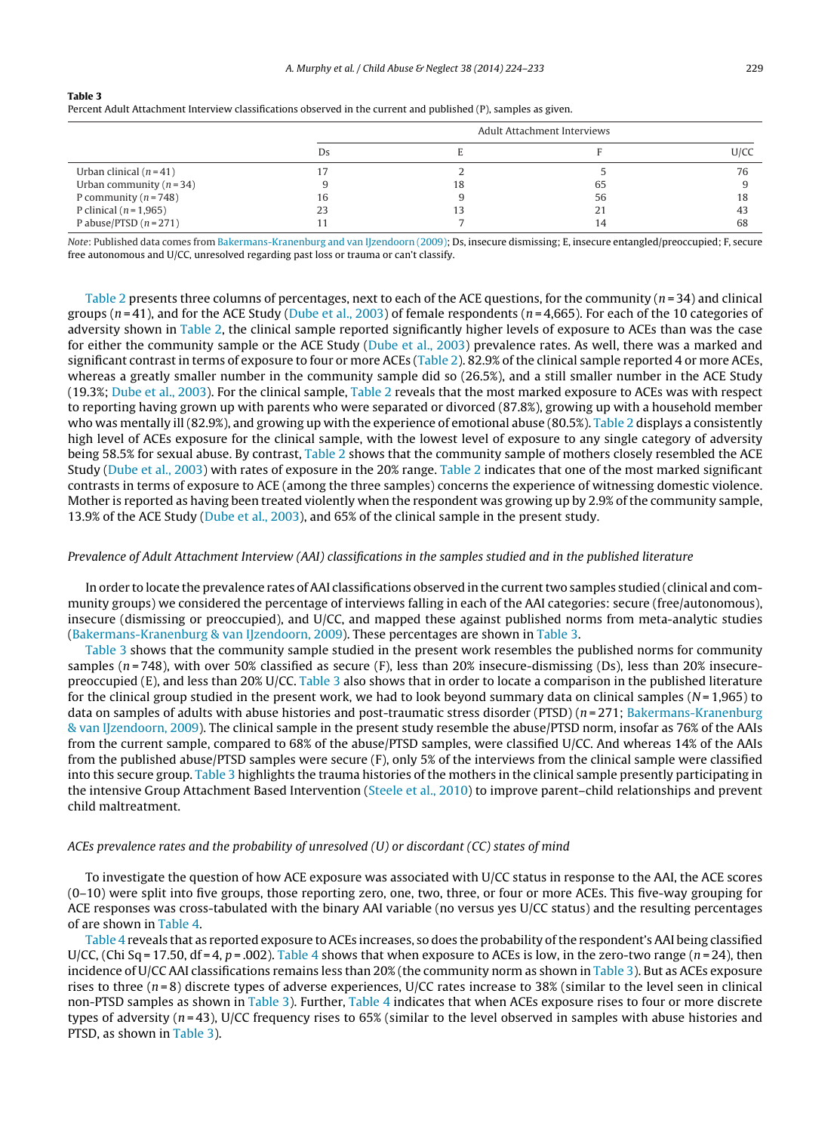| $\sim$<br>$\sim$ |  |
|------------------|--|
|------------------|--|

| Percent Adult Attachment Interview classifications observed in the current and published (P), samples as given. |  |  |  |  |
|-----------------------------------------------------------------------------------------------------------------|--|--|--|--|
|-----------------------------------------------------------------------------------------------------------------|--|--|--|--|

|                           | Adult Attachment Interviews |    |    |      |
|---------------------------|-----------------------------|----|----|------|
|                           | Ds                          |    |    | U/CC |
| Urban clinical $(n=41)$   |                             |    |    | 76   |
| Urban community $(n=34)$  |                             | 18 | 65 |      |
| P community ( $n = 748$ ) | 16                          |    | 56 | 18   |
| P clinical $(n=1,965)$    | 23                          |    | 21 | 43   |
| P abuse/PTSD $(n=271)$    |                             |    |    | 68   |

Note: Published data comes from [Bakermans-Kranenburg and van IJzendoorn \(2009\); D](#page-8-0)s, insecure dismissing; E, insecure entangled/preoccupied; F, secure free autonomous and U/CC, unresolved regarding past loss or trauma or can't classify.

[Table 2](#page-4-0) presents three columns of percentages, next to each of the ACE questions, for the community ( $n = 34$ ) and clinical groups ( $n = 41$ ), and for the ACE Study [\(Dube et al., 2003\)](#page-8-0) of female respondents ( $n = 4,665$ ). For each of the 10 categories of adversity shown in [Table 2, t](#page-4-0)he clinical sample reported significantly higher levels of exposure to ACEs than was the case for either the community sample or the ACE Study ([Dube et al., 2003\)](#page-8-0) prevalence rates. As well, there was a marked and significant contrast in terms of exposure to four or more ACEs ([Table 2\).](#page-4-0) 82.9% of the clinical sample reported 4 or more ACEs, whereas a greatly smaller number in the community sample did so (26.5%), and a still smaller number in the ACE Study (19.3%; [Dube et al., 2003\).](#page-8-0) For the clinical sample, [Table 2](#page-4-0) reveals that the most marked exposure to ACEs was with respect to reporting having grown up with parents who were separated or divorced (87.8%), growing up with a household member who was mentally ill (82.9%), and growing up with the experience of emotional abuse (80.5%). [Table 2](#page-4-0) displays a consistently high level of ACEs exposure for the clinical sample, with the lowest level of exposure to any single category of adversity being 58.5% for sexual abuse. By contrast, [Table 2](#page-4-0) shows that the community sample of mothers closely resembled the ACE Study [\(Dube et al., 2003\) w](#page-8-0)ith rates of exposure in the 20% range. [Table 2](#page-4-0) indicates that one of the most marked significant contrasts in terms of exposure to ACE (among the three samples) concerns the experience of witnessing domestic violence. Mother is reported as having been treated violently when the respondent was growing up by 2.9% of the community sample, 13.9% of the ACE Study ([Dube et al., 2003\),](#page-8-0) and 65% of the clinical sample in the present study.

#### Prevalence of Adult Attachment Interview (AAI) classifications in the samples studied and in the published literature

In order to locate the prevalence rates of AAI classifications observed in the current two samples studied (clinical and community groups) we considered the percentage of interviews falling in each of the AAI categories: secure (free/autonomous), insecure (dismissing or preoccupied), and U/CC, and mapped these against published norms from meta-analytic studies [\(Bakermans-Kranenburg & van IJzendoorn, 2009\).](#page-8-0) These percentages are shown in Table 3.

Table 3 shows that the community sample studied in the present work resembles the published norms for community samples ( $n = 748$ ), with over 50% classified as secure (F), less than 20% insecure-dismissing (Ds), less than 20% insecurepreoccupied (E), and less than 20% U/CC. Table 3 also shows that in order to locate a comparison in the published literature for the clinical group studied in the present work, we had to look beyond summary data on clinical samples ( $N = 1,965$ ) to data on samples of adults with abuse histories and post-traumatic stress disorder (PTSD)  $(n=271;$  [Bakermans-Kranenburg](#page-8-0) [& van IJzendoorn, 2009\).](#page-8-0) The clinical sample in the present study resemble the abuse/PTSD norm, insofar as 76% of the AAIs from the current sample, compared to 68% of the abuse/PTSD samples, were classified U/CC. And whereas 14% of the AAIs from the published abuse/PTSD samples were secure (F), only 5% of the interviews from the clinical sample were classified into this secure group. Table 3 highlights the trauma histories of the mothers in the clinical sample presently participating in the intensive Group Attachment Based Intervention ([Steele et al., 2010\)](#page-9-0) to improve parent–child relationships and prevent child maltreatment.

## ACEs prevalence rates and the probability of unresolved (U) or discordant (CC) states of mind

To investigate the question of how ACE exposure was associated with U/CC status in response to the AAI, the ACE scores (0–10) were split into five groups, those reporting zero, one, two, three, or four or more ACEs. This five-way grouping for ACE responses was cross-tabulated with the binary AAI variable (no versus yes U/CC status) and the resulting percentages of are shown in [Table 4.](#page-6-0)

[Table 4](#page-6-0) reveals that as reported exposure to ACEs increases, so does the probability of the respondent's AAI being classified U/CC, (Chi Sq = 17.50, df = 4, p = .002). [Table 4](#page-6-0) shows that when exposure to ACEs is low, in the zero-two range (n = 24), then incidence of U/CC AAI classifications remains less than 20% (the community norm as shown in Table 3). But as ACEs exposure rises to three  $(n=8)$  discrete types of adverse experiences, U/CC rates increase to 38% (similar to the level seen in clinical non-PTSD samples as shown in Table 3). Further, [Table 4](#page-6-0) indicates that when ACEs exposure rises to four or more discrete types of adversity ( $n = 43$ ), U/CC frequency rises to 65% (similar to the level observed in samples with abuse histories and PTSD, as shown in Table 3).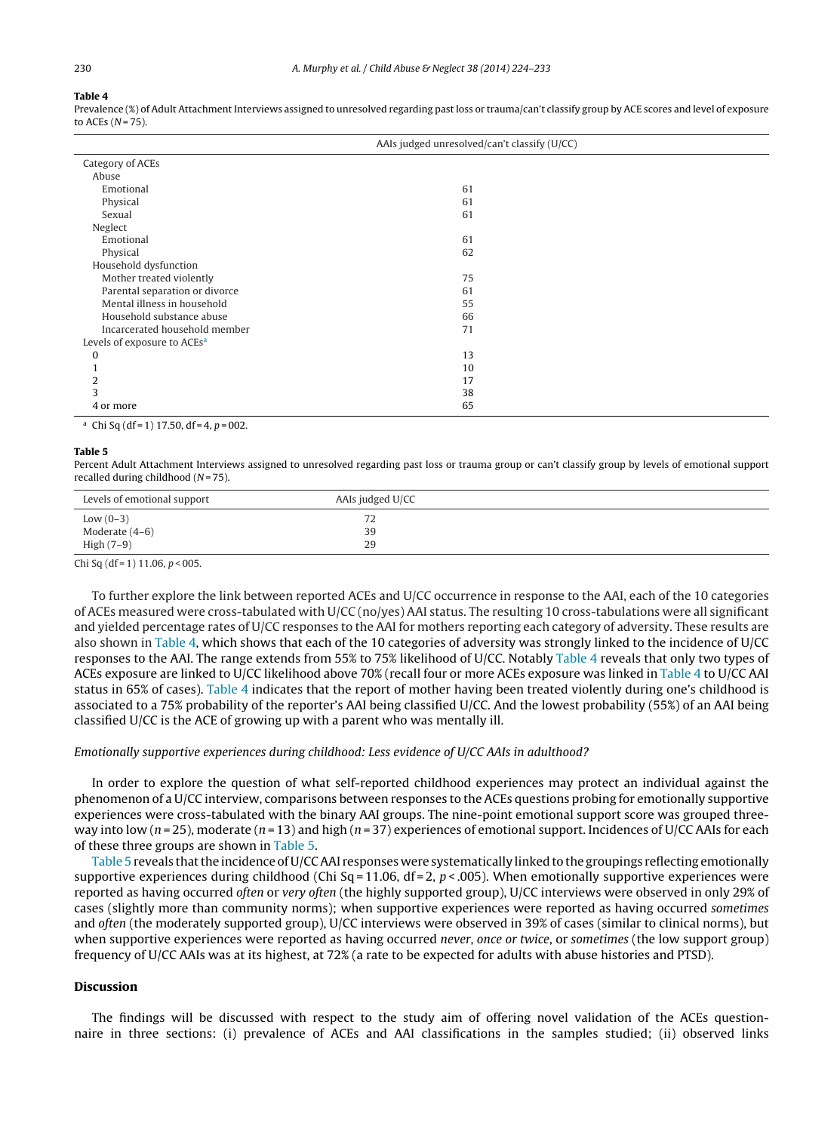## <span id="page-6-0"></span>**Table 4**

Prevalence (%) of Adult Attachment Interviews assigned to unresolved regarding past loss or trauma/can't classify group by ACE scores and level of exposure to  $ACFs (N = 75)$ .

|                                         | AAIs judged unresolved/can't classify (U/CC) |  |
|-----------------------------------------|----------------------------------------------|--|
| Category of ACEs                        |                                              |  |
| Abuse                                   |                                              |  |
| Emotional                               | 61                                           |  |
| Physical                                | 61                                           |  |
| Sexual                                  | 61                                           |  |
| Neglect                                 |                                              |  |
| Emotional                               | 61                                           |  |
| Physical                                | 62                                           |  |
| Household dysfunction                   |                                              |  |
| Mother treated violently                | 75                                           |  |
| Parental separation or divorce          | 61                                           |  |
| Mental illness in household             | 55                                           |  |
| Household substance abuse               | 66                                           |  |
| Incarcerated household member           | 71                                           |  |
| Levels of exposure to ACEs <sup>a</sup> |                                              |  |
| 0                                       | 13                                           |  |
|                                         | 10                                           |  |
| 2                                       | 17                                           |  |
| 3                                       | 38                                           |  |
| 4 or more                               | 65                                           |  |

<sup>a</sup> Chi Sq (df = 1) 17.50, df = 4,  $p = 002$ .

#### **Table 5**

Percent Adult Attachment Interviews assigned to unresolved regarding past loss or trauma group or can't classify group by levels of emotional support recalled during childhood  $(N = 75)$ .

| Levels of emotional support                     | AAIs judged U/CC |  |
|-------------------------------------------------|------------------|--|
| Low $(0-3)$<br>Moderate $(4-6)$<br>High $(7-9)$ | 72<br>39<br>29   |  |

Chi Sq (df = 1) 11.06,  $p < 005$ .

To further explore the link between reported ACEs and U/CC occurrence in response to the AAI, each of the 10 categories of ACEs measured were cross-tabulated with U/CC (no/yes) AAI status. The resulting 10 cross-tabulations were all significant and yielded percentage rates of U/CC responses to the AAI for mothers reporting each category of adversity. These results are also shown in Table 4, which shows that each of the 10 categories of adversity was strongly linked to the incidence of U/CC responses to the AAI. The range extends from 55% to 75% likelihood of U/CC. Notably Table 4 reveals that only two types of ACEs exposure are linked to U/CC likelihood above 70% (recall four or more ACEs exposure was linked in Table 4 to U/CC AAI status in 65% of cases). Table 4 indicates that the report of mother having been treated violently during one's childhood is associated to a 75% probability of the reporter's AAI being classified U/CC. And the lowest probability (55%) of an AAI being classified U/CC is the ACE of growing up with a parent who was mentally ill.

#### Emotionally supportive experiences during childhood: Less evidence of U/CC AAIs in adulthood?

In order to explore the question of what self-reported childhood experiences may protect an individual against the phenomenon of a U/CC interview, comparisons between responses to the ACEs questions probing for emotionally supportive experiences were cross-tabulated with the binary AAI groups. The nine-point emotional support score was grouped threeway into low ( $n = 25$ ), moderate ( $n = 13$ ) and high ( $n = 37$ ) experiences of emotional support. Incidences of U/CC AAIs for each of these three groups are shown in Table 5.

Table 5 reveals that the incidence of U/CC AAI responses were systematically linked to the groupings reflecting emotionally supportive experiences during childhood (Chi Sq = 11.06, df = 2,  $p$  < .005). When emotionally supportive experiences were reported as having occurred often or very often (the highly supported group), U/CC interviews were observed in only 29% of cases (slightly more than community norms); when supportive experiences were reported as having occurred sometimes and often (the moderately supported group), U/CC interviews were observed in 39% of cases (similar to clinical norms), but when supportive experiences were reported as having occurred never, once or twice, or sometimes (the low support group) frequency of U/CC AAIs was at its highest, at 72% (a rate to be expected for adults with abuse histories and PTSD).

## **Discussion**

The findings will be discussed with respect to the study aim of offering novel validation of the ACEs questionnaire in three sections: (i) prevalence of ACEs and AAI classifications in the samples studied; (ii) observed links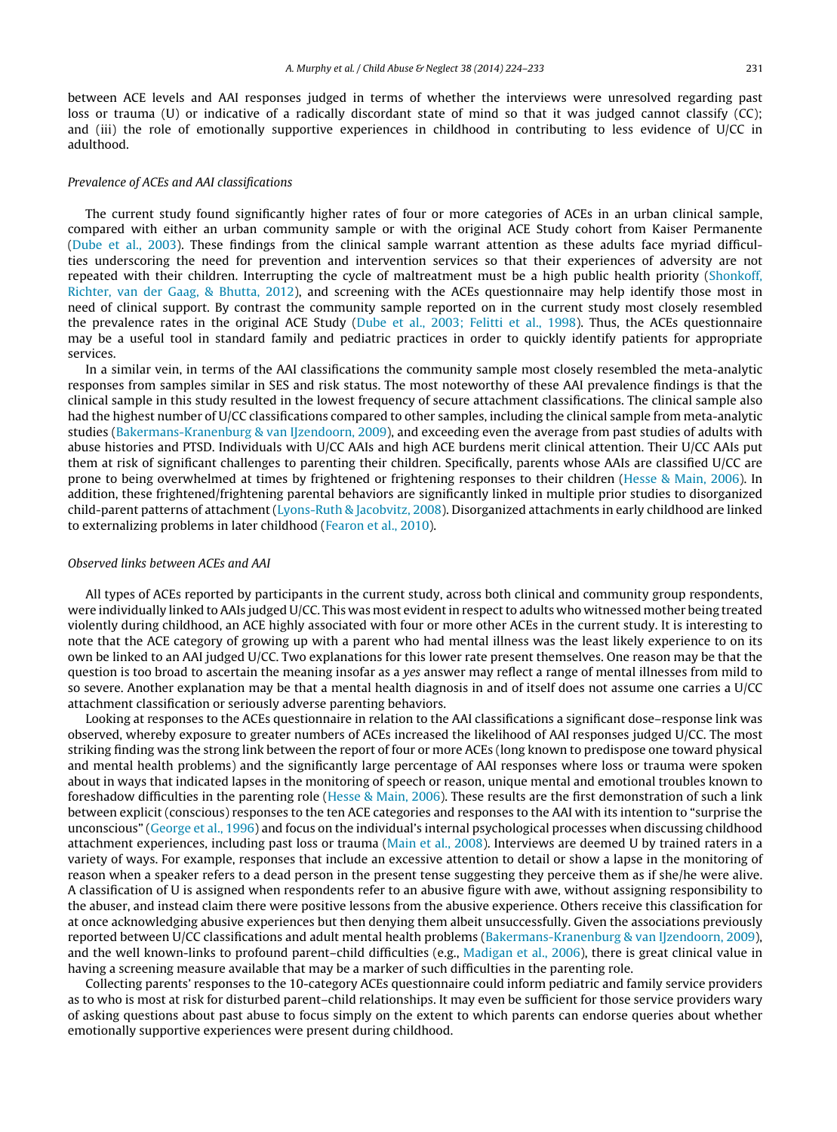between ACE levels and AAI responses judged in terms of whether the interviews were unresolved regarding past loss or trauma (U) or indicative of a radically discordant state of mind so that it was judged cannot classify (CC); and (iii) the role of emotionally supportive experiences in childhood in contributing to less evidence of U/CC in adulthood.

## Prevalence of ACEs and AAI classifications

The current study found significantly higher rates of four or more categories of ACEs in an urban clinical sample, compared with either an urban community sample or with the original ACE Study cohort from Kaiser Permanente [\(Dube et al., 2003\).](#page-8-0) These findings from the clinical sample warrant attention as these adults face myriad difficulties underscoring the need for prevention and intervention services so that their experiences of adversity are not repeated with their children. Interrupting the cycle of maltreatment must be a high public health priority [\(Shonkoff,](#page-9-0) [Richter, van der Gaag, & Bhutta, 2012\),](#page-9-0) and screening with the ACEs questionnaire may help identify those most in need of clinical support. By contrast the community sample reported on in the current study most closely resembled the prevalence rates in the original ACE Study ([Dube et al., 2003; Felitti et al., 1998\).](#page-8-0) Thus, the ACEs questionnaire may be a useful tool in standard family and pediatric practices in order to quickly identify patients for appropriate services.

In a similar vein, in terms of the AAI classifications the community sample most closely resembled the meta-analytic responses from samples similar in SES and risk status. The most noteworthy of these AAI prevalence findings is that the clinical sample in this study resulted in the lowest frequency of secure attachment classifications. The clinical sample also had the highest number of U/CC classifications compared to other samples, including the clinical sample from meta-analytic studies [\(Bakermans-Kranenburg & van IJzendoorn, 2009\),](#page-8-0) and exceeding even the average from past studies of adults with abuse histories and PTSD. Individuals with U/CC AAIs and high ACE burdens merit clinical attention. Their U/CC AAIs put them at risk of significant challenges to parenting their children. Specifically, parents whose AAIs are classified U/CC are prone to being overwhelmed at times by frightened or frightening responses to their children [\(Hesse & Main, 2006\).](#page-8-0) In addition, these frightened/frightening parental behaviors are significantly linked in multiple prior studies to disorganized child-parent patterns of attachment ([Lyons-Ruth & Jacobvitz, 2008\).](#page-9-0) Disorganized attachments in early childhood are linked to externalizing problems in later childhood ([Fearon et al., 2010\).](#page-8-0)

#### Observed links between ACEs and AAI

All types of ACEs reported by participants in the current study, across both clinical and community group respondents, were individually linked to AAIs judged U/CC. This was most evident in respect to adults who witnessed mother being treated violently during childhood, an ACE highly associated with four or more other ACEs in the current study. It is interesting to note that the ACE category of growing up with a parent who had mental illness was the least likely experience to on its own be linked to an AAI judged U/CC. Two explanations for this lower rate present themselves. One reason may be that the question is too broad to ascertain the meaning insofar as a yes answer may reflect a range of mental illnesses from mild to so severe. Another explanation may be that a mental health diagnosis in and of itself does not assume one carries a U/CC attachment classification or seriously adverse parenting behaviors.

Looking at responses to the ACEs questionnaire in relation to the AAI classifications a significant dose–response link was observed, whereby exposure to greater numbers of ACEs increased the likelihood of AAI responses judged U/CC. The most striking finding was the strong link between the report of four or more ACEs (long known to predispose one toward physical and mental health problems) and the significantly large percentage of AAI responses where loss or trauma were spoken about in ways that indicated lapses in the monitoring of speech or reason, unique mental and emotional troubles known to foreshadow difficulties in the parenting role [\(Hesse & Main, 2006\).](#page-8-0) These results are the first demonstration of such a link between explicit (conscious) responses to the ten ACE categories and responses to the AAI with its intention to "surprise the unconscious" ([George et al., 1996\)](#page-8-0) and focus on the individual's internal psychological processes when discussing childhood attachment experiences, including past loss or trauma [\(Main et al., 2008\).](#page-9-0) Interviews are deemed U by trained raters in a variety of ways. For example, responses that include an excessive attention to detail or show a lapse in the monitoring of reason when a speaker refers to a dead person in the present tense suggesting they perceive them as if she/he were alive. A classification of U is assigned when respondents refer to an abusive figure with awe, without assigning responsibility to the abuser, and instead claim there were positive lessons from the abusive experience. Others receive this classification for at once acknowledging abusive experiences but then denying them albeit unsuccessfully. Given the associations previously reported between U/CC classifications and adult mental health problems [\(Bakermans-Kranenburg & van IJzendoorn, 2009\),](#page-8-0) and the well known-links to profound parent–child difficulties (e.g., [Madigan et al., 2006\),](#page-9-0) there is great clinical value in having a screening measure available that may be a marker of such difficulties in the parenting role.

Collecting parents' responses to the 10-category ACEs questionnaire could inform pediatric and family service providers as to who is most at risk for disturbed parent–child relationships. It may even be sufficient for those service providers wary of asking questions about past abuse to focus simply on the extent to which parents can endorse queries about whether emotionally supportive experiences were present during childhood.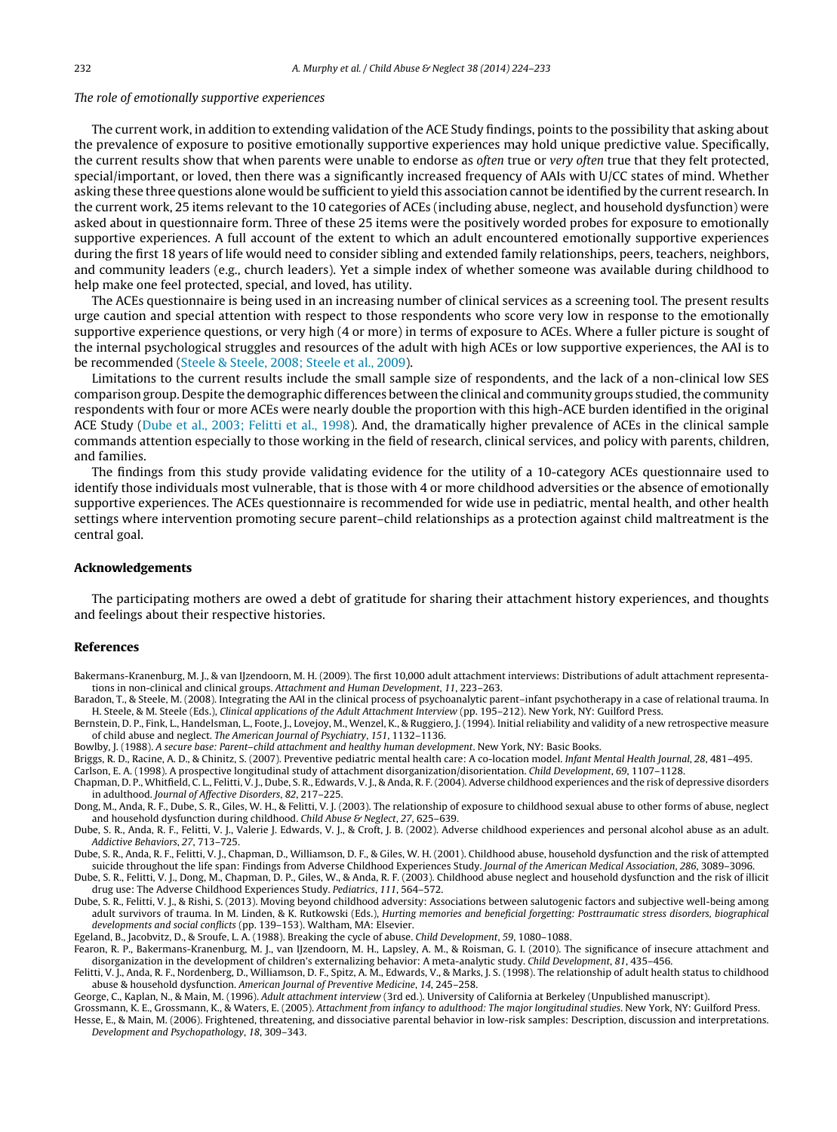#### <span id="page-8-0"></span>The role of emotionally supportive experiences

The current work, in addition to extending validation of the ACE Study findings, points to the possibility that asking about the prevalence of exposure to positive emotionally supportive experiences may hold unique predictive value. Specifically, the current results show that when parents were unable to endorse as often true or very often true that they felt protected, special/important, or loved, then there was a significantly increased frequency of AAIs with U/CC states of mind. Whether asking these three questions alone would be sufficient to yield this association cannot be identified by the current research. In the current work, 25 items relevant to the 10 categories of ACEs (including abuse, neglect, and household dysfunction) were asked about in questionnaire form. Three of these 25 items were the positively worded probes for exposure to emotionally supportive experiences. A full account of the extent to which an adult encountered emotionally supportive experiences during the first 18 years of life would need to consider sibling and extended family relationships, peers, teachers, neighbors, and community leaders (e.g., church leaders). Yet a simple index of whether someone was available during childhood to help make one feel protected, special, and loved, has utility.

The ACEs questionnaire is being used in an increasing number of clinical services as a screening tool. The present results urge caution and special attention with respect to those respondents who score very low in response to the emotionally supportive experience questions, or very high (4 or more) in terms of exposure to ACEs. Where a fuller picture is sought of the internal psychological struggles and resources of the adult with high ACEs or low supportive experiences, the AAI is to be recommended [\(Steele & Steele, 2008; Steele et al., 2009\).](#page-9-0)

Limitations to the current results include the small sample size of respondents, and the lack of a non-clinical low SES comparison group. Despite the demographic differences between the clinical and community groups studied, the community respondents with four or more ACEs were nearly double the proportion with this high-ACE burden identified in the original ACE Study (Dube et al., 2003; Felitti et al., 1998). And, the dramatically higher prevalence of ACEs in the clinical sample commands attention especially to those working in the field of research, clinical services, and policy with parents, children, and families.

The findings from this study provide validating evidence for the utility of a 10-category ACEs questionnaire used to identify those individuals most vulnerable, that is those with 4 or more childhood adversities or the absence of emotionally supportive experiences. The ACEs questionnaire is recommended for wide use in pediatric, mental health, and other health settings where intervention promoting secure parent–child relationships as a protection against child maltreatment is the central goal.

#### **Acknowledgements**

The participating mothers are owed a debt of gratitude for sharing their attachment history experiences, and thoughts and feelings about their respective histories.

#### **References**

Bakermans-Kranenburg, M. J., & van IJzendoorn, M. H. (2009). The first 10,000 adult attachment interviews: Distributions of adult attachment representations in non-clinical and clinical groups. Attachment and Human Development, 11, 223–263.

Baradon, T., & Steele, M. (2008). Integrating the AAI in the clinical process of psychoanalytic parent–infant psychotherapy in a case of relational trauma. In H. Steele, & M. Steele (Eds.), Clinical applications of the Adult Attachment Interview (pp. 195–212). New York, NY: Guilford Press.

Bernstein, D. P., Fink, L., Handelsman, L., Foote, J., Lovejoy, M., Wenzel, K., & Ruggiero, J. (1994). Initial reliability and validity of a new retrospective measure of child abuse and neglect. The American Journal of Psychiatry, 151, 1132–1136.

Bowlby, J. (1988). A secure base: Parent–child attachment and healthy human development. New York, NY: Basic Books.

Briggs, R. D., Racine, A. D., & Chinitz, S. (2007). Preventive pediatric mental health care: A co-location model. Infant Mental Health Journal, 28, 481–495.

Carlson, E. A. (1998). A prospective longitudinal study of attachment disorganization/disorientation. Child Development, 69, 1107–1128.

Chapman, D. P., Whitfield, C. L., Felitti, V. J., Dube, S. R., Edwards, V. J., & Anda, R. F. (2004). Adverse childhood experiences and the risk of depressive disorders in adulthood. Journal of Affective Disorders, 82, 217–225.

Dong, M., Anda, R. F., Dube, S. R., Giles, W. H., & Felitti, V. J. (2003). The relationship of exposure to childhood sexual abuse to other forms of abuse, neglect and household dysfunction during childhood. Child Abuse & Neglect, 27, 625-639.

Dube, S. R., Anda, R. F., Felitti, V. J., Valerie J. Edwards, V. J., & Croft, J. B. (2002). Adverse childhood experiences and personal alcohol abuse as an adult. Addictive Behaviors, 27, 713–725.

Dube, S. R., Anda, R. F., Felitti, V. J., Chapman, D., Williamson, D. F., & Giles, W. H. (2001). Childhood abuse, household dysfunction and the risk of attempted suicide throughout the life span: Findings from Adverse Childhood Experiences Study. Journal of the American Medical Association, 286, 3089–3096.

Dube, S. R., Felitti, V. J., Dong, M., Chapman, D. P., Giles, W., & Anda, R. F. (2003). Childhood abuse neglect and household dysfunction and the risk of illicit drug use: The Adverse Childhood Experiences Study. Pediatrics, 111, 564–572.

Dube, S. R., Felitti, V. J., & Rishi, S. (2013). Moving beyond childhood adversity: Associations between salutogenic factors and subjective well-being among adult survivors of trauma. In M. Linden, & K. Rutkowski (Eds.), Hurting memories and beneficial forgetting: Posttraumatic stress disorders, biographical developments and social conflicts (pp. 139–153). Waltham, MA: Elsevier.

Egeland, B., Jacobvitz, D., & Sroufe, L. A. (1988). Breaking the cycle of abuse. Child Development, 59, 1080–1088.

Fearon, R. P., Bakermans-Kranenburg, M. J., van IJzendoorn, M. H., Lapsley, A. M., & Roisman, G. I. (2010). The significance of insecure attachment and disorganization in the development of children's externalizing behavior: A meta-analytic study. Child Development, 81, 435–456.

Felitti, V. J., Anda, R. F., Nordenberg, D., Williamson, D. F., Spitz, A. M., Edwards, V., & Marks, J. S. (1998). The relationship of adult health status to childhood abuse & household dysfunction. American Journal of Preventive Medicine, 14, 245–258.

George, C., Kaplan, N., & Main, M. (1996). Adult attachment interview (3rd ed.). University of California at Berkeley (Unpublished manuscript).

Grossmann, K. E., Grossmann, K., & Waters, E. (2005). Attachment from infancy to adulthood: The major longitudinal studies. New York, NY: Guilford Press. Hesse, E., & Main, M. (2006). Frightened, threatening, and dissociative parental behavior in low-risk samples: Description, discussion and interpretations. Development and Psychopathology, 18, 309–343.